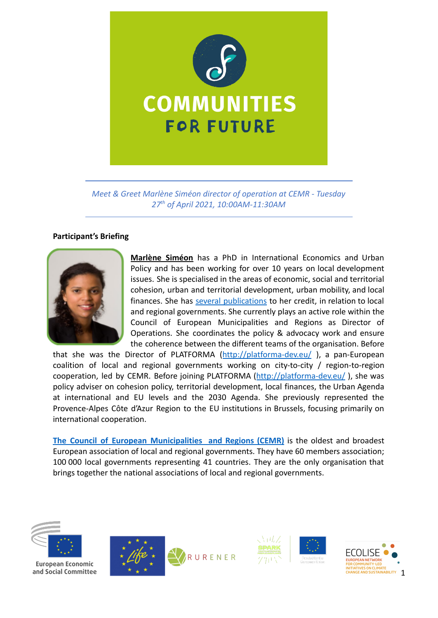

*Meet & Greet Marlène Siméon director of operation at CEMR - Tuesday 27th of April 2021, 10:00AM-11:30AM*

## **Participant's Briefing**



**Marlène Siméon** has a PhD in International Economics and Urban Policy and has been working for over 10 years on local development issues. She is specialised in the areas of economic, social and territorial cohesion, urban and territorial development, urban mobility, and local finances. She has several [publications](https://www.ccre.org/) to her credit, in relation to local and regional governments. She currently plays an active role within the Council of European Municipalities and Regions as Director of Operations. She coordinates the policy & advocacy work and ensure the coherence between the different teams of the organisation. Before

that she was the Director of PLATFORMA (<http://platforma-dev.eu/>), a pan-European coalition of local and regional governments working on city-to-city / region-to-region cooperation, led by CEMR. Before joining PLATFORMA (<http://platforma-dev.eu/> ), she was policy adviser on cohesion policy, territorial development, local finances, the Urban Agenda at international and EU levels and the 2030 Agenda. She previously represented the Provence-Alpes Côte d'Azur Region to the EU institutions in Brussels, focusing primarily on international cooperation.

**The Council of European [Municipalities](https://www.ccre.org/) and Regions (CEMR)** is the oldest and broadest European association of local and regional governments. They have 60 members association; 100 000 local governments representing 41 countries. They are the only organisation that brings together the national associations of local and regional governments.



**European Economic** and Social Committee







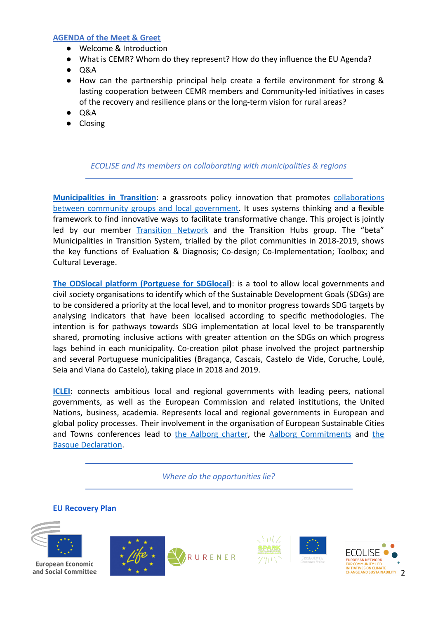## **AGENDA of the Meet & Greet**

- Welcome & Introduction
- What is CEMR? Whom do they represent? How do they influence the EU Agenda?
- Q&A
- How can the partnership principal help create a fertile environment for strong & lasting cooperation between CEMR members and Community-led initiatives in cases of the recovery and resilience plans or the long-term vision for rural areas?
- $\bullet$  Q&A
- Closing

*ECOLISE and its members on collaborating with municipalities & regions*

**[Municipalities](https://wiki.communitiesforfuture.org/wiki/Municipalities_in_Transition) in Transition**: a grassroots policy innovation that promotes [collaborations](https://wiki.communitiesforfuture.org/wiki/Collaborations_between_community_groups_and_local_government) between community groups and local [government.](https://wiki.communitiesforfuture.org/wiki/Collaborations_between_community_groups_and_local_government) It uses systems thinking and a flexible framework to find innovative ways to facilitate transformative change. This project is jointly led by our member [Transition](https://transitionnetwork.org/) Network and the Transition Hubs group. The "beta" Municipalities in Transition System, trialled by the pilot communities in 2018-2019, shows the key functions of Evaluation & Diagnosis; Co-design; Co-Implementation; Toolbox; and Cultural Leverage.

**The ODSlocal platform [\(Portguese](https://wiki.communitiesforfuture.org/wiki/ODSlocal) for SDGlocal)**: is a tool to allow local governments and civil society organisations to identify which of the Sustainable Development Goals (SDGs) are to be considered a priority at the local level, and to monitor progress towards SDG targets by analysing indicators that have been localised according to specific methodologies. The intention is for pathways towards SDG implementation at local level to be transparently shared, promoting inclusive actions with greater attention on the SDGs on which progress lags behind in each municipality. Co-creation pilot phase involved the project partnership and several Portuguese municipalities (Bragança, Cascais, Castelo de Vide, Coruche, Loulé, Seia and Viana do Castelo), taking place in 2018 and 2019.

**[ICLEI:](https://iclei-europe.org/policy-advocacy/)** connects ambitious local and regional governments with leading peers, national governments, as well as the European Commission and related institutions, the United Nations, business, academia. Represents local and regional governments in European and global policy processes. Their involvement in the organisation of European Sustainable Cities and Towns conferences lead to the [Aalborg](https://sustainablecities.eu/the-aalborg-charter/) charter, the Aalborg [Commitments](https://sustainablecities.eu/the-aalborg-commitments/) and [the](https://sustainablecities.eu/about-the-basque-declaration/) [Basque Declaration](https://sustainablecities.eu/about-the-basque-declaration/).

*Where do the opportunities lie?*